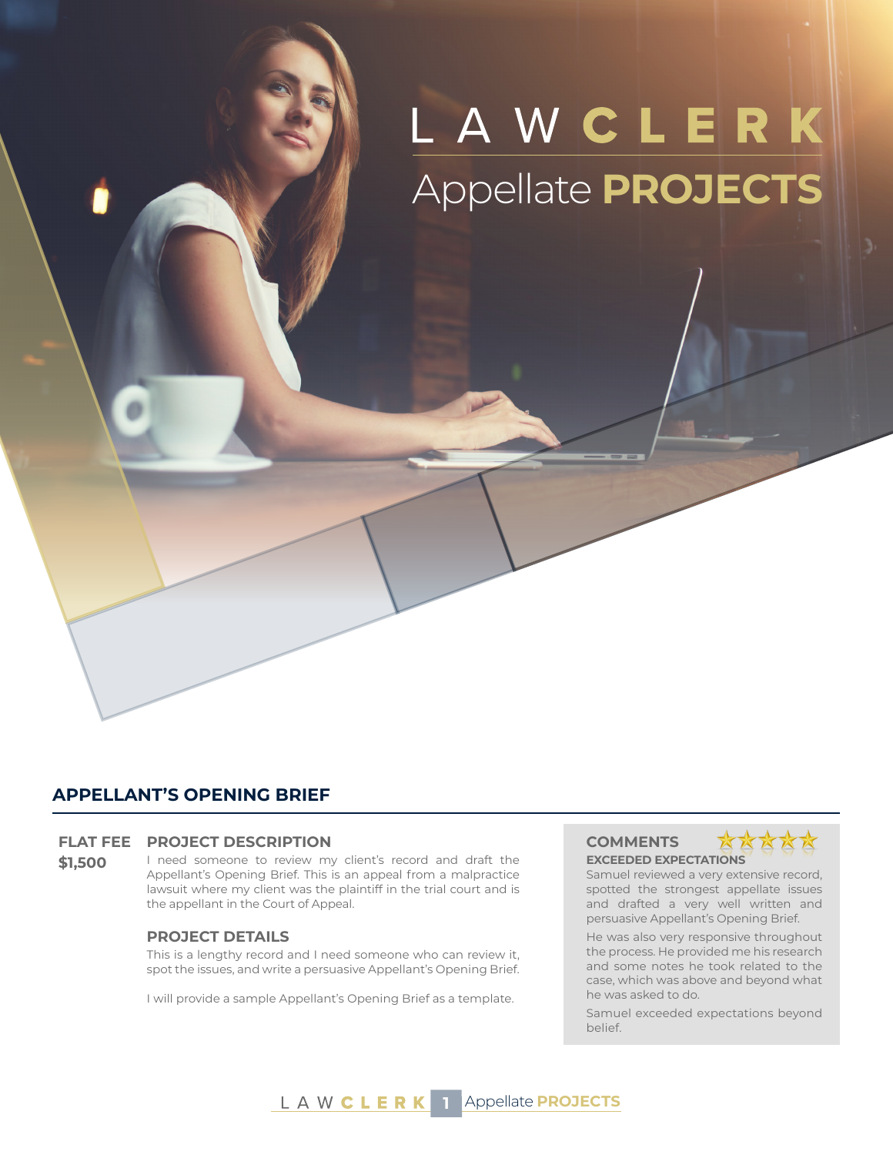# LAWCLERK Appellate **PROJECTS**

# **APPELLANT'S OPENING BRIEF**

#### **FLAT FEE PROJECT DESCRIPTION COMMENTS**

**\$1.500** I need someone to review my client's record and draft the Appellant's Opening Brief. This is an appeal from a malpractice lawsuit where my client was the plaintiff in the trial court and is the appellant in the Court of Appeal.

#### **PROJECT DETAILS**

This is a lengthy record and I need someone who can review it, spot the issues, and write a persuasive Appellant's Opening Brief.

I will provide a sample Appellant's Opening Brief as a template.

# **EXCEEDED EXPECTATIONS**



Samuel reviewed a very extensive record, spotted the strongest appellate issues and drafted a very well written and persuasive Appellant's Opening Brief.

He was also very responsive throughout the process. He provided me his research and some notes he took related to the case, which was above and beyond what he was asked to do.

Samuel exceeded expectations beyond belief.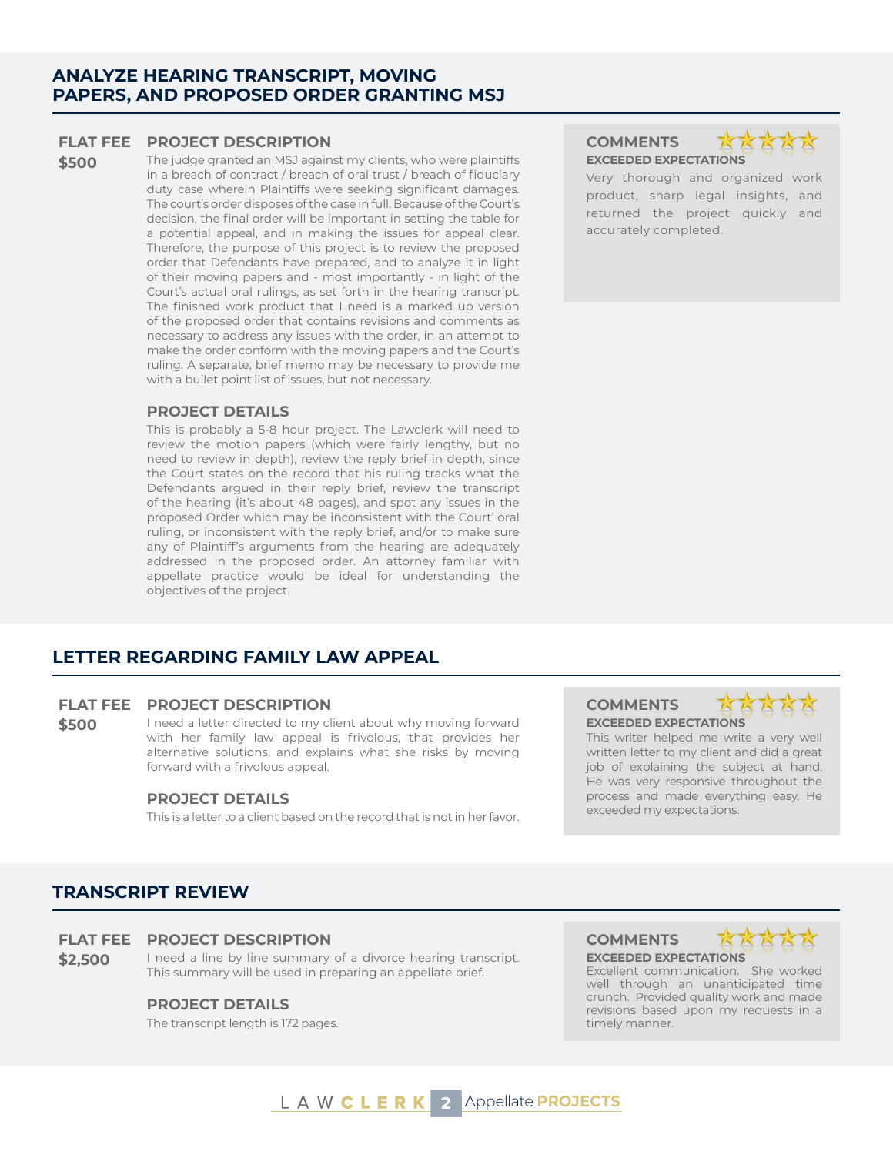## **ANALYZE HEARING TRANSCRIPT, MOVING PAPERS, AND PROPOSED ORDER GRANTING MSJ**

### **FLAT FEE PROJECT DESCRIPTION COMMENTS**

**\$500** The judge granted an MSJ against my clients, who were plaintiffs in a breach of contract / breach of oral trust / breach of fiduciary duty case wherein Plaintiffs were seeking significant damages. The court's order disposes of the case in full. Because of the Court's decision, the final order will be important in setting the table for a potential appeal, and in making the issues for appeal clear. Therefore, the purpose of this project is to review the proposed order that Defendants have prepared, and to analyze it in light of their moving papers and - most importantly - in light of the Court's actual oral rulings, as set forth in the hearing transcript. The finished work product that I need is a marked up version of the proposed order that contains revisions and comments as necessary to address any issues with the order, in an attempt to make the order conform with the moving papers and the Court's ruling. A separate, brief memo may be necessary to provide me with a bullet point list of issues, but not necessary.

### **PROJECT DETAILS**

This is probably a 5-8 hour project. The Lawclerk will need to review the motion papers (which were fairly lengthy, but no need to review in depth), review the reply brief in depth, since the Court states on the record that his ruling tracks what the Defendants argued in their reply brief, review the transcript of the hearing (it's about 48 pages), and spot any issues in the proposed Order which may be inconsistent with the Court' oral ruling, or inconsistent with the reply brief, and/or to make sure any of Plaintiff's arguments from the hearing are adequately addressed in the proposed order. An attorney familiar with appellate practice would be ideal for understanding the objectives of the project.

# **LETTER REGARDING FAMILY LAW APPEAL**

### **FLAT FEE PROJECT DESCRIPTION COMMENTS**

**\$500** I need a letter directed to my client about why moving forward with her family law appeal is frivolous, that provides her alternative solutions, and explains what she risks by moving forward with a frivolous appeal.

#### **PROJECT DETAILS**

This is a letter to a client based on the record that is not in her favor.

# **EXCEEDED EXPECTATIONS**



Very thorough and organized work product, sharp legal insights, and returned the project quickly and accurately completed.



**EXCEEDED EXPECTATIONS** This writer helped me write a very well written letter to my client and did a great job of explaining the subject at hand. He was very responsive throughout the process and made everything easy. He exceeded my expectations.

# **TRANSCRIPT REVIEW**

### **FLAT FEE PROJECT DESCRIPTION COMMENTS**

**\$2.500** I need a line by line summary of a divorce hearing transcript. This summary will be used in preparing an appellate brief.

### **PROJECT DETAILS**

The transcript length is 172 pages.

# **EXCEEDED EXPECTATIONS**



Excellent communication. She worked well through an unanticipated time crunch. Provided quality work and made revisions based upon my requests in a timely manner.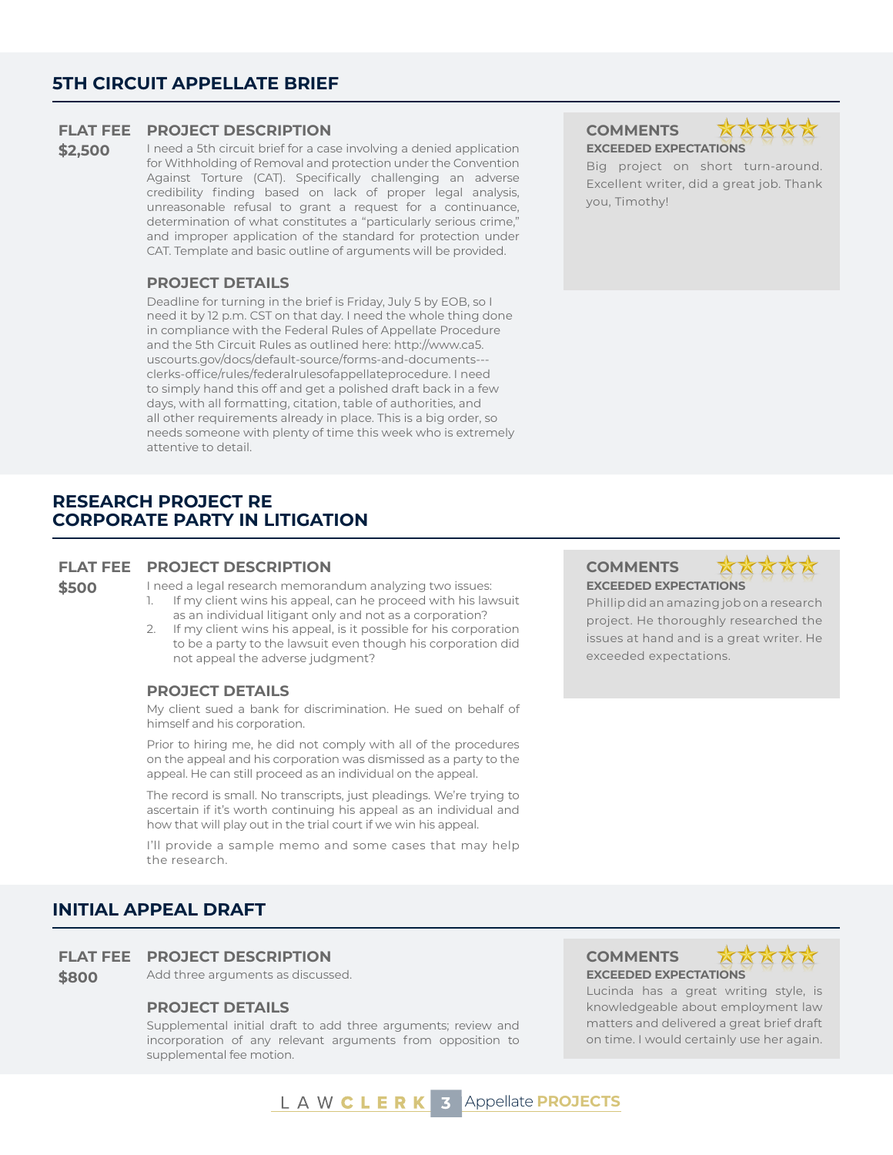# **5TH CIRCUIT APPELLATE BRIEF**

#### **FLAT FEE PROJECT DESCRIPTION COMMENTS**

\$2,500 I need a 5th circuit brief for a case involving a denied application for Withholding of Removal and protection under the Convention Against Torture (CAT). Specifically challenging an adverse credibility finding based on lack of proper legal analysis, unreasonable refusal to grant a request for a continuance, determination of what constitutes a "particularly serious crime," and improper application of the standard for protection under CAT. Template and basic outline of arguments will be provided.

#### **PROJECT DETAILS**

Deadline for turning in the brief is Friday, July 5 by EOB, so I need it by 12 p.m. CST on that day. I need the whole thing done in compliance with the Federal Rules of Appellate Procedure and the 5th Circuit Rules as outlined here: http://www.ca5. uscourts.gov/docs/default-source/forms-and-documents-- clerks-office/rules/federalrulesofappellateprocedure. I need to simply hand this off and get a polished draft back in a few days, with all formatting, citation, table of authorities, and all other requirements already in place. This is a big order, so needs someone with plenty of time this week who is extremely attentive to detail.

# **RESEARCH PROJECT RE CORPORATE PARTY IN LITIGATION**

#### **FLAT FEE PROJECT DESCRIPTION COMMENTS**

**\$500** I need a legal research memorandum analyzing two issues:<br>1. If my client wins his appeal, can he proceed with his lay

- If my client wins his appeal, can he proceed with his lawsuit as an individual litigant only and not as a corporation?
- 2. If my client wins his appeal, is it possible for his corporation to be a party to the lawsuit even though his corporation did not appeal the adverse judgment?

### **PROJECT DETAILS**

My client sued a bank for discrimination. He sued on behalf of himself and his corporation.

Prior to hiring me, he did not comply with all of the procedures on the appeal and his corporation was dismissed as a party to the appeal. He can still proceed as an individual on the appeal.

The record is small. No transcripts, just pleadings. We're trying to ascertain if it's worth continuing his appeal as an individual and how that will play out in the trial court if we win his appeal.

I'll provide a sample memo and some cases that may help the research.

## **INITIAL APPEAL DRAFT**

#### **FLAT FEE PROJECT DESCRIPTION COMMENTS**

**\$800** Add three arguments as discussed. **EXCEEDED EXPECTATIONS** 

#### **PROJECT DETAILS**

Supplemental initial draft to add three arguments; review and incorporation of any relevant arguments from opposition to supplemental fee motion.

# **EXCEEDED EXPECTATIONS**

Big project on short turn-around. Excellent writer, did a great job. Thank you, Timothy!

# **EXCEEDED EXPECTATIONS**



Phillip did an amazing job on a research project. He thoroughly researched the issues at hand and is a great writer. He exceeded expectations.



Lucinda has a great writing style, is knowledgeable about employment law matters and delivered a great brief draft on time. I would certainly use her again.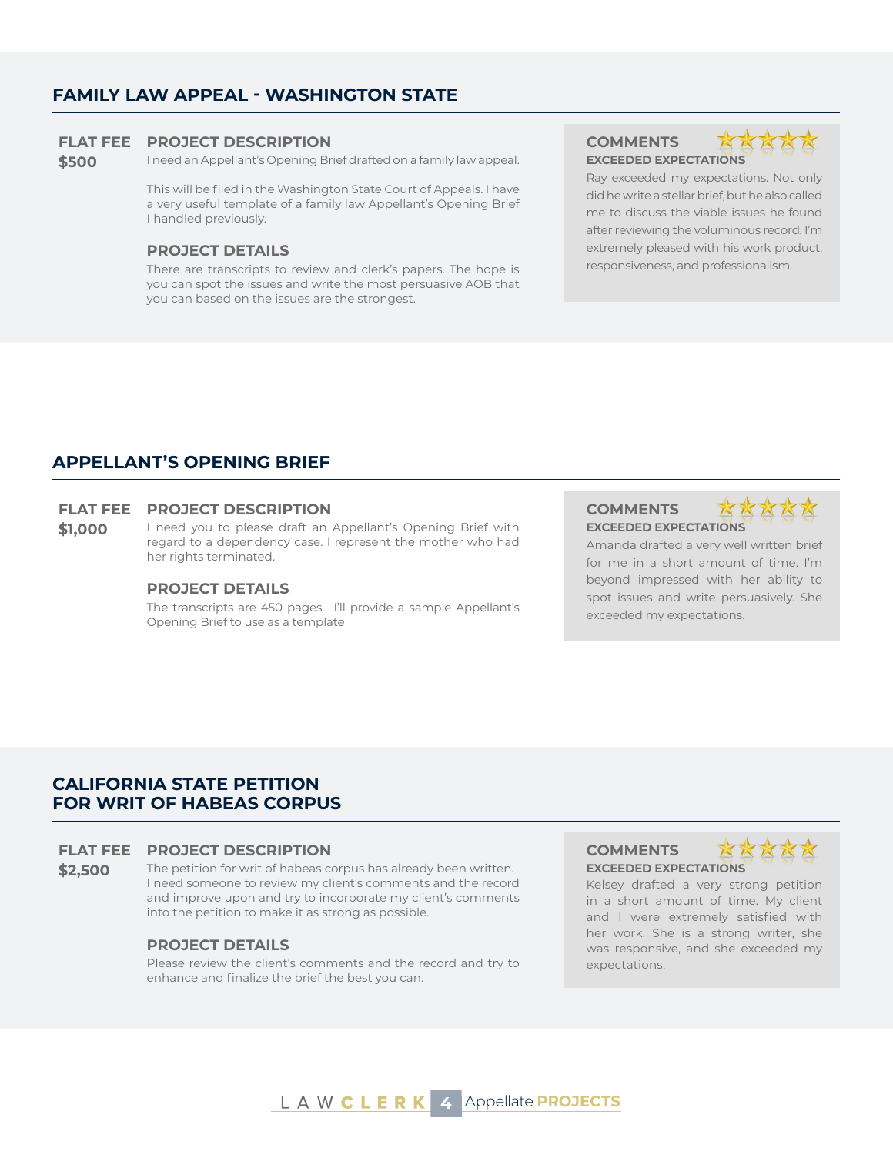# **FAMILY LAW APPEAL - WASHINGTON STATE**

#### **FLAT FEE PROJECT DESCRIPTION COMMENTS**

**\$500** I need an Appellant's Opening Brief drafted on a family law appeal.

This will be filed in the Washington State Court of Appeals. I have a very useful template of a family law Appellant's Opening Brief I handled previously.

#### **PROJECT DETAILS**

There are transcripts to review and clerk's papers. The hope is you can spot the issues and write the most persuasive AOB that you can based on the issues are the strongest.

# **EXCEEDED EXPECTATIONS**



Ray exceeded my expectations. Not only did he write a stellar brief, but he also called me to discuss the viable issues he found after reviewing the voluminous record. I'm extremely pleased with his work product, responsiveness, and professionalism.

# **APPELLANT'S OPENING BRIEF**

#### **FLAT FEE PROJECT DESCRIPTION COMMENTS**

\$1,000 I need you to please draft an Appellant's Opening Brief with regard to a dependency case. I represent the mother who had her rights terminated.

#### **PROJECT DETAILS**

The transcripts are 450 pages. I'll provide a sample Appellant's Opening Brief to use as a template

# **EXCEEDED EXPECTATIONS**



Amanda drafted a very well written brief for me in a short amount of time. I'm beyond impressed with her ability to spot issues and write persuasively. She exceeded my expectations.

# **CALIFORNIA STATE PETITION FOR WRIT OF HABEAS CORPUS**

### **FLAT FEE PROJECT DESCRIPTION COMMENTS**

**\$2.500** The petition for writ of habeas corpus has already been written. I need someone to review my client's comments and the record and improve upon and try to incorporate my client's comments into the petition to make it as strong as possible.

#### **PROJECT DETAILS**

Please review the client's comments and the record and try to enhance and finalize the brief the best you can.

**EXCEEDED EXPECTATIONS**



Kelsey drafted a very strong petition in a short amount of time. My client and I were extremely satisfied with her work. She is a strong writer, she was responsive, and she exceeded my expectations.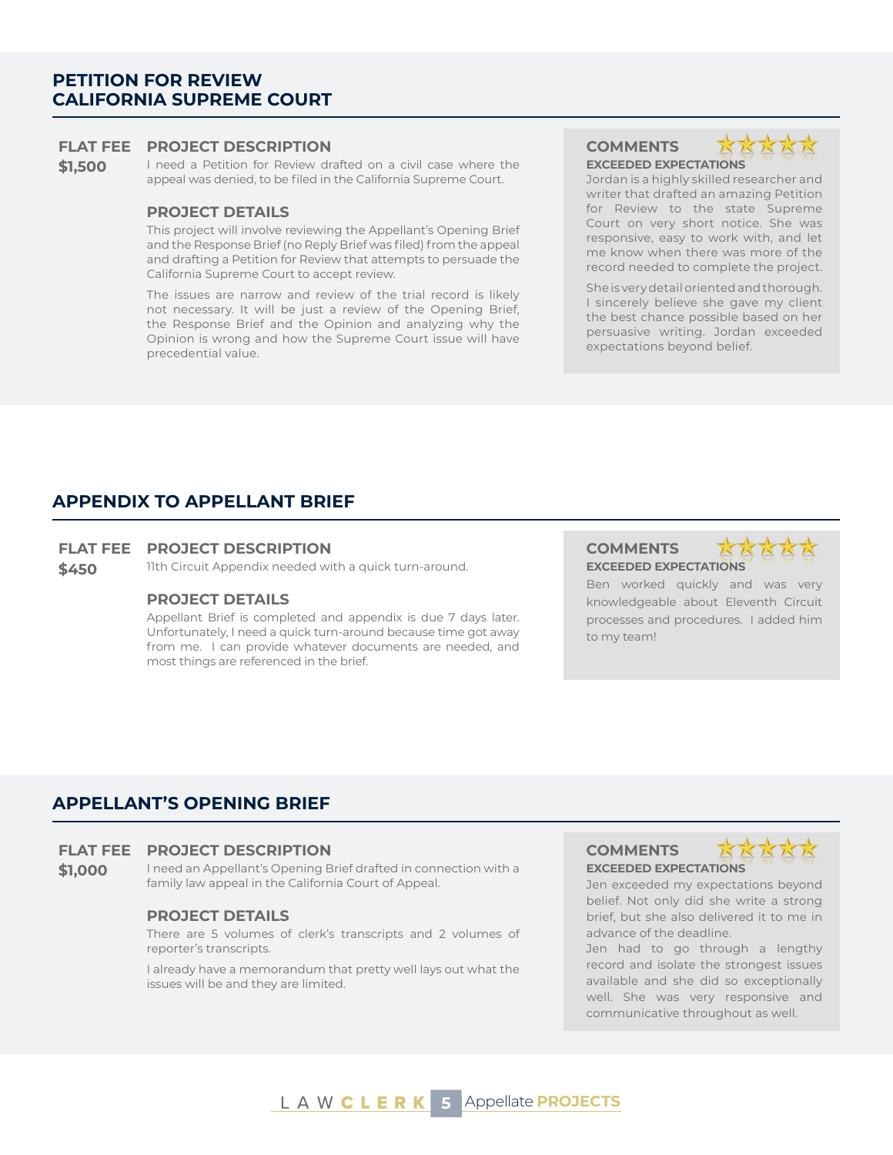# **PETITION FOR REVIEW CALIFORNIA SUPREME COURT**

#### **FLAT FEE PROJECT DESCRIPTION COMMENTS**

**\$1,500** I need a Petition for Review drafted on a civil case where the appeal was denied, to be filed in the California Supreme Court.

#### **PROJECT DETAILS**

This project will involve reviewing the Appellant's Opening Brief and the Response Brief (no Reply Brief was filed) from the appeal and drafting a Petition for Review that attempts to persuade the California Supreme Court to accept review.

The issues are narrow and review of the trial record is likely not necessary. It will be just a review of the Opening Brief, the Response Brief and the Opinion and analyzing why the Opinion is wrong and how the Supreme Court issue will have precedential value.

**EXCEEDED EXPECTATIONS**



Jordan is a highly skilled researcher and writer that drafted an amazing Petition for Review to the state Supreme Court on very short notice. She was responsive, easy to work with, and let me know when there was more of the record needed to complete the project.

She is very detail oriented and thorough. I sincerely believe she gave my client the best chance possible based on her persuasive writing. Jordan exceeded expectations beyond belief.

### **APPENDIX TO APPELLANT BRIEF**

### **FLAT FEE PROJECT DESCRIPTION COMMENTS**

**\$450** 11th Circuit Appendix needed with a quick turn-around. **EXCEEDED EXPECTATIONS** 

#### **PROJECT DETAILS**

Appellant Brief is completed and appendix is due 7 days later. Unfortunately, I need a quick turn-around because time got away from me. I can provide whatever documents are needed, and most things are referenced in the brief.

Ben worked quickly and was very knowledgeable about Eleventh Circuit processes and procedures. I added him to my team!

### **APPELLANT'S OPENING BRIEF**

#### **FLAT FEE PROJECT DESCRIPTION COMMENTS**

**\$1,000** I need an Appellant's Opening Brief drafted in connection with a family law appeal in the California Court of Appeal.

#### **PROJECT DETAILS**

There are 5 volumes of clerk's transcripts and 2 volumes of reporter's transcripts.

I already have a memorandum that pretty well lays out what the issues will be and they are limited.

# **EXCEEDED EXPECTATIONS**



Jen exceeded my expectations beyond belief. Not only did she write a strong brief, but she also delivered it to me in advance of the deadline.

Jen had to go through a lengthy record and isolate the strongest issues available and she did so exceptionally well. She was very responsive and communicative throughout as well.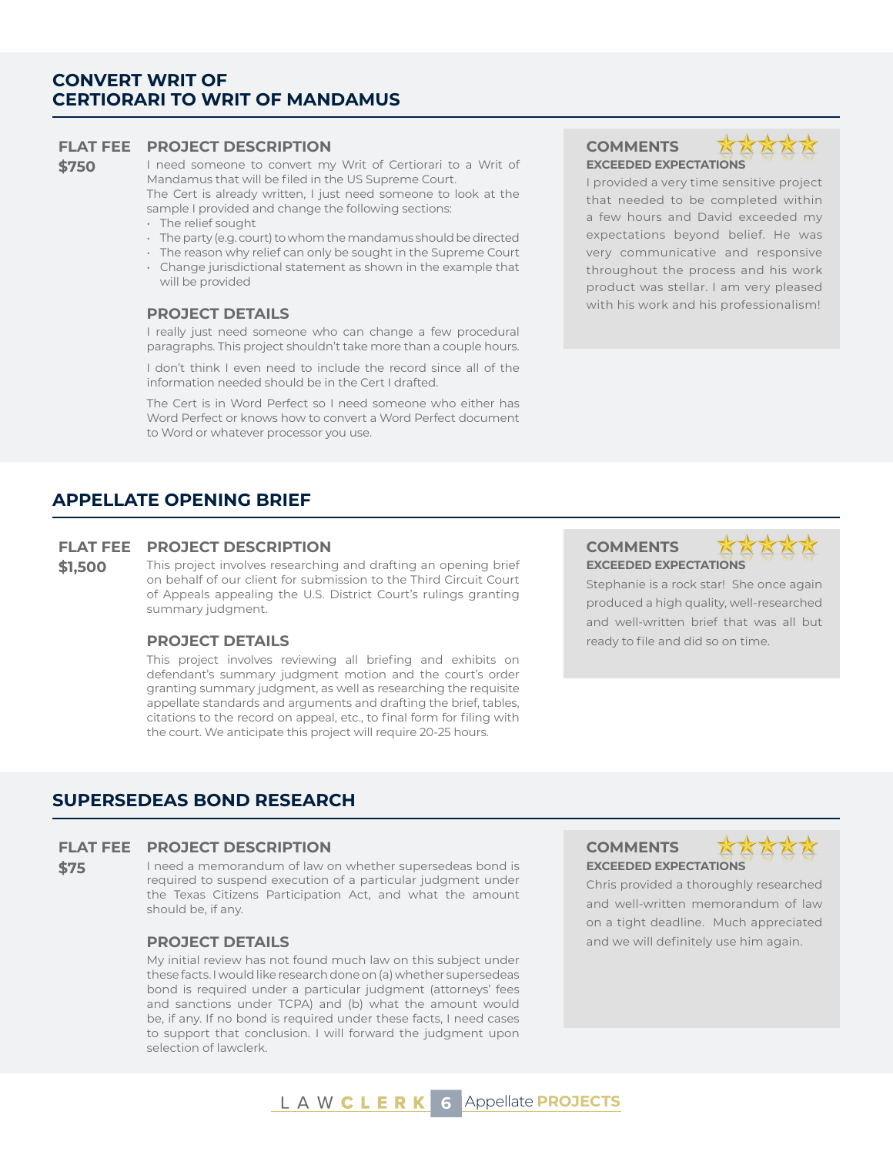# **CONVERT WRIT OF CERTIORARI TO WRIT OF MANDAMUS**

#### **FLAT FEE PROJECT DESCRIPTION COMMENTS**

**\$750** I need someone to convert my Writ of Certiorari to a Writ of Mandamus that will be filed in the US Supreme Court. The Cert is already written, I just need someone to look at the sample I provided and change the following sections:

- The relief sought
- The party (e.g. court) to whom the mandamus should be directed
- The reason why relief can only be sought in the Supreme Court
- Change jurisdictional statement as shown in the example that will be provided

I really just need someone who can change a few procedural paragraphs. This project shouldn't take more than a couple hours.

I don't think I even need to include the record since all of the information needed should be in the Cert I drafted.

The Cert is in Word Perfect so I need someone who either has Word Perfect or knows how to convert a Word Perfect document to Word or whatever processor you use.

## **APPELLATE OPENING BRIEF**

#### **FLAT FEE PROJECT DESCRIPTION COMMENTS**

**\$1,500** This project involves researching and drafting an opening brief on behalf of our client for submission to the Third Circuit Court of Appeals appealing the U.S. District Court's rulings granting summary judgment.

This project involves reviewing all briefing and exhibits on defendant's summary judgment motion and the court's order granting summary judgment, as well as researching the requisite appellate standards and arguments and drafting the brief, tables, citations to the record on appeal, etc., to final form for filing with the court. We anticipate this project will require 20-25 hours.

**EXCEEDED EXPECTATIONS**



I provided a very time sensitive project that needed to be completed within a few hours and David exceeded my expectations beyond belief. He was very communicative and responsive throughout the process and his work product was stellar. I am very pleased with his work and his professionalism! **PROJECT DETAILS**

# **EXCEEDED EXPECTATIONS**



Stephanie is a rock star! She once again produced a high quality, well-researched and well-written brief that was all but **PROJECT DETAILS ready to file and did so on time.** 

### **SUPERSEDEAS BOND RESEARCH**

#### **FLAT FEE PROJECT DESCRIPTION COMMENTS**

**\$75** I need a memorandum of law on whether supersedeas bond is required to suspend execution of a particular judgment under the Texas Citizens Participation Act, and what the amount should be, if any.

My initial review has not found much law on this subject under these facts. I would like research done on (a) whether supersedeas bond is required under a particular judgment (attorneys' fees and sanctions under TCPA) and (b) what the amount would be, if any. If no bond is required under these facts, I need cases to support that conclusion. I will forward the judgment upon selection of lawclerk.

**EXCEEDED EXPECTATIONS**



Chris provided a thoroughly researched and well-written memorandum of law on a tight deadline. Much appreciated **PROJECT DETAILS All and We will definitely use him again.** All and we will definitely use him again.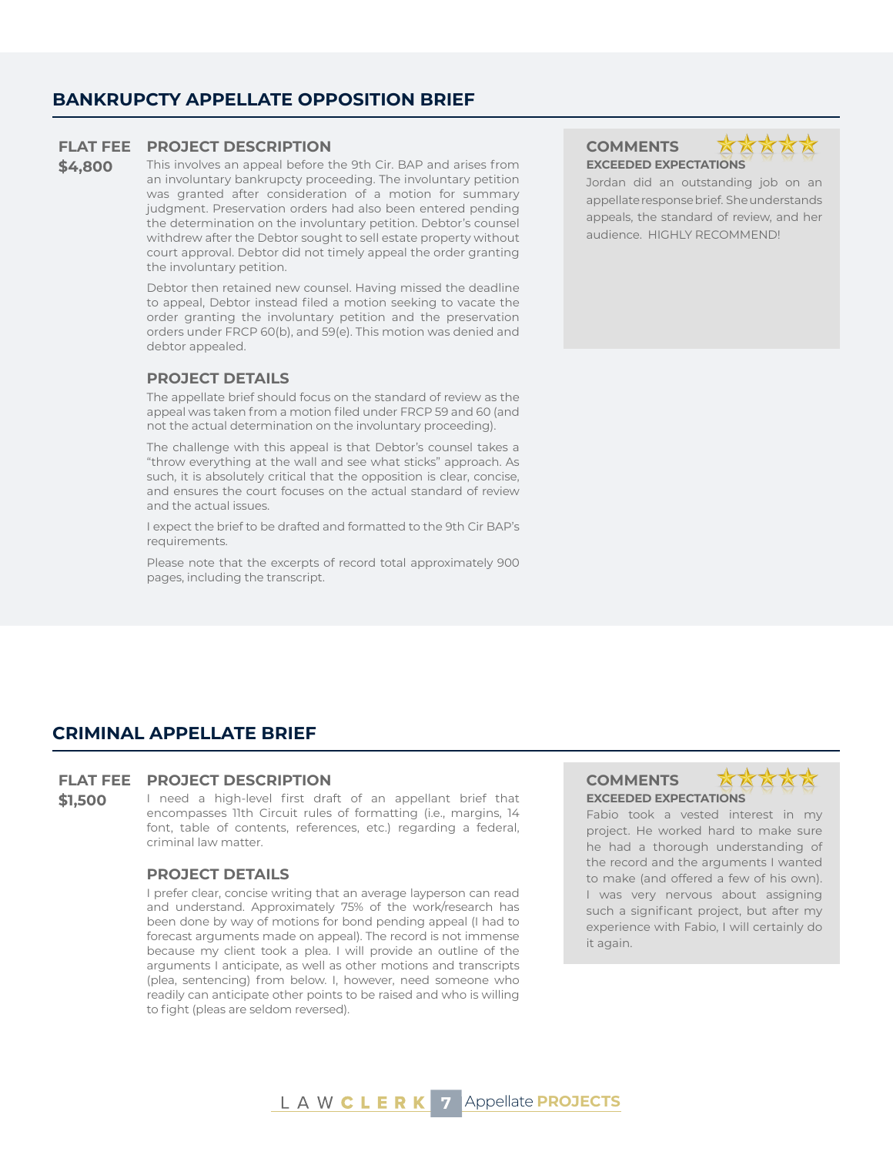# **BANKRUPCTY APPELLATE OPPOSITION BRIEF**

#### **FLAT FEE PROJECT DESCRIPTION COMMENTS**

**\$4,800** This involves an appeal before the 9th Cir. BAP and arises from an involuntary bankrupcty proceeding. The involuntary petition was granted after consideration of a motion for summary judgment. Preservation orders had also been entered pending the determination on the involuntary petition. Debtor's counsel withdrew after the Debtor sought to sell estate property without court approval. Debtor did not timely appeal the order granting the involuntary petition.

> Debtor then retained new counsel. Having missed the deadline to appeal, Debtor instead filed a motion seeking to vacate the order granting the involuntary petition and the preservation orders under FRCP 60(b), and 59(e). This motion was denied and debtor appealed.

#### **PROJECT DETAILS**

The appellate brief should focus on the standard of review as the appeal was taken from a motion filed under FRCP 59 and 60 (and not the actual determination on the involuntary proceeding).

The challenge with this appeal is that Debtor's counsel takes a "throw everything at the wall and see what sticks" approach. As such, it is absolutely critical that the opposition is clear, concise, and ensures the court focuses on the actual standard of review and the actual issues.

I expect the brief to be drafted and formatted to the 9th Cir BAP's requirements.

Please note that the excerpts of record total approximately 900 pages, including the transcript.

# **EXCEEDED EXPECTATIONS**

Jordan did an outstanding job on an appellate response brief. She understands appeals, the standard of review, and her audience. HIGHLY RECOMMEND!

### **CRIMINAL APPELLATE BRIEF**

#### **FLAT FEE PROJECT DESCRIPTION COMMENTS**

**\$1,500** I need a high-level first draft of an appellant brief that encompasses 11th Circuit rules of formatting (i.e., margins, 14 font, table of contents, references, etc.) regarding a federal, criminal law matter.

### **PROJECT DETAILS**

I prefer clear, concise writing that an average layperson can read and understand. Approximately 75% of the work/research has been done by way of motions for bond pending appeal (I had to forecast arguments made on appeal). The record is not immense because my client took a plea. I will provide an outline of the arguments I anticipate, as well as other motions and transcripts (plea, sentencing) from below. I, however, need someone who readily can anticipate other points to be raised and who is willing to fight (pleas are seldom reversed).

# **EXCEEDED EXPECTATIONS**



Fabio took a vested interest in my project. He worked hard to make sure he had a thorough understanding of the record and the arguments I wanted to make (and offered a few of his own). I was very nervous about assigning such a significant project, but after my experience with Fabio, I will certainly do it again.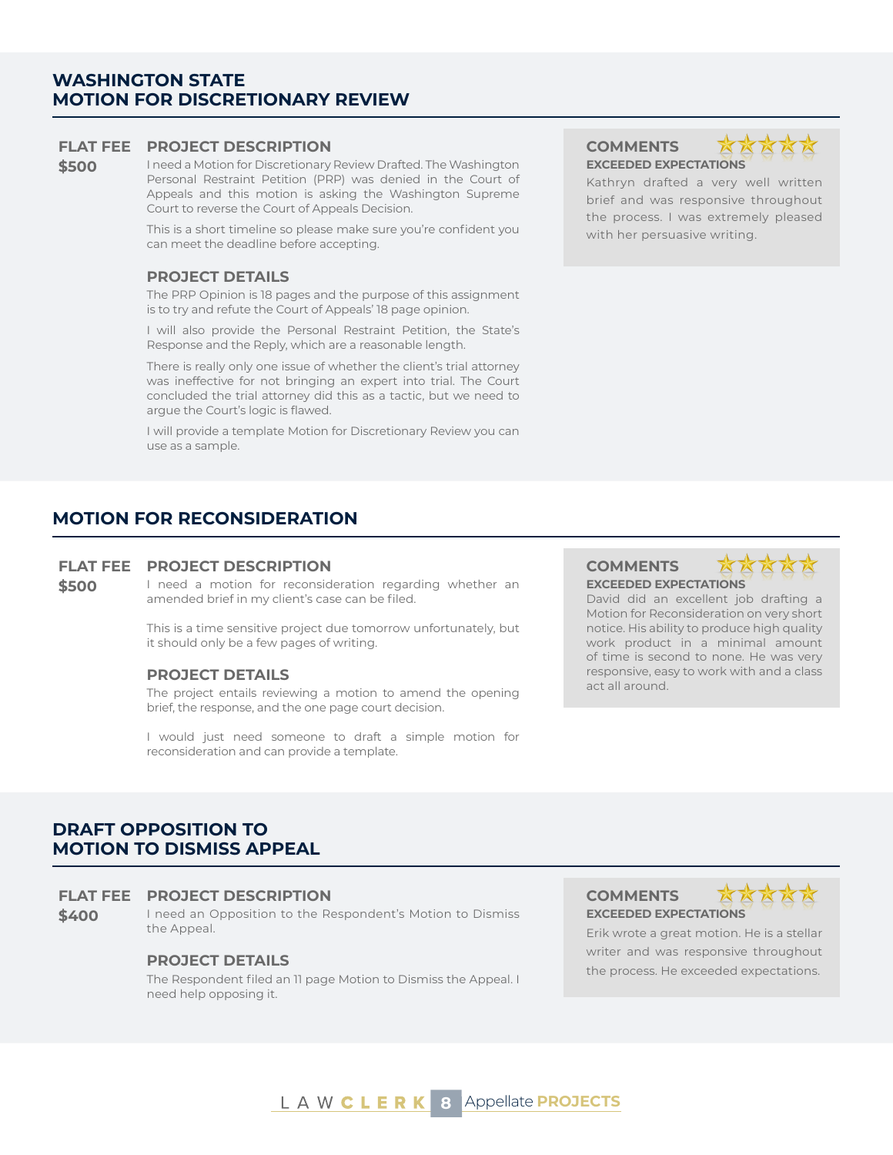# **WASHINGTON STATE MOTION FOR DISCRETIONARY REVIEW**

### **FLAT FEE PROJECT DESCRIPTION COMMENTS**

**\$500** I need a Motion for Discretionary Review Drafted. The Washington Personal Restraint Petition (PRP) was denied in the Court of Appeals and this motion is asking the Washington Supreme Court to reverse the Court of Appeals Decision.

> This is a short timeline so please make sure you're confident you can meet the deadline before accepting.

### **PROJECT DETAILS**

The PRP Opinion is 18 pages and the purpose of this assignment is to try and refute the Court of Appeals' 18 page opinion.

I will also provide the Personal Restraint Petition, the State's Response and the Reply, which are a reasonable length.

There is really only one issue of whether the client's trial attorney was ineffective for not bringing an expert into trial. The Court concluded the trial attorney did this as a tactic, but we need to argue the Court's logic is flawed.

I will provide a template Motion for Discretionary Review you can use as a sample.

# **MOTION FOR RECONSIDERATION**

### **FLAT FEE PROJECT DESCRIPTION COMMENTS**

**\$500** I need a motion for reconsideration regarding whether an amended brief in my client's case can be filed.

> This is a time sensitive project due tomorrow unfortunately, but it should only be a few pages of writing.

### **PROJECT DETAILS**

The project entails reviewing a motion to amend the opening brief, the response, and the one page court decision.

I would just need someone to draft a simple motion for reconsideration and can provide a template.

# **EXCEEDED EXPECTATIONS**



Kathryn drafted a very well written brief and was responsive throughout the process. I was extremely pleased with her persuasive writing.

**EXCEEDED EXPECTATIONS**



David did an excellent job drafting a Motion for Reconsideration on very short notice. His ability to produce high quality work product in a minimal amount of time is second to none. He was very responsive, easy to work with and a class act all around.

# **DRAFT OPPOSITION TO MOTION TO DISMISS APPEAL**

#### **FLAT FEE PROJECT DESCRIPTION COMMENTS**

\$400 I need an Opposition to the Respondent's Motion to Dismiss the Appeal.

### **PROJECT DETAILS**

The Respondent filed an 11 page Motion to Dismiss the Appeal. I need help opposing it.

**EXCEEDED EXPECTATIONS**



Erik wrote a great motion. He is a stellar writer and was responsive throughout the process. He exceeded expectations.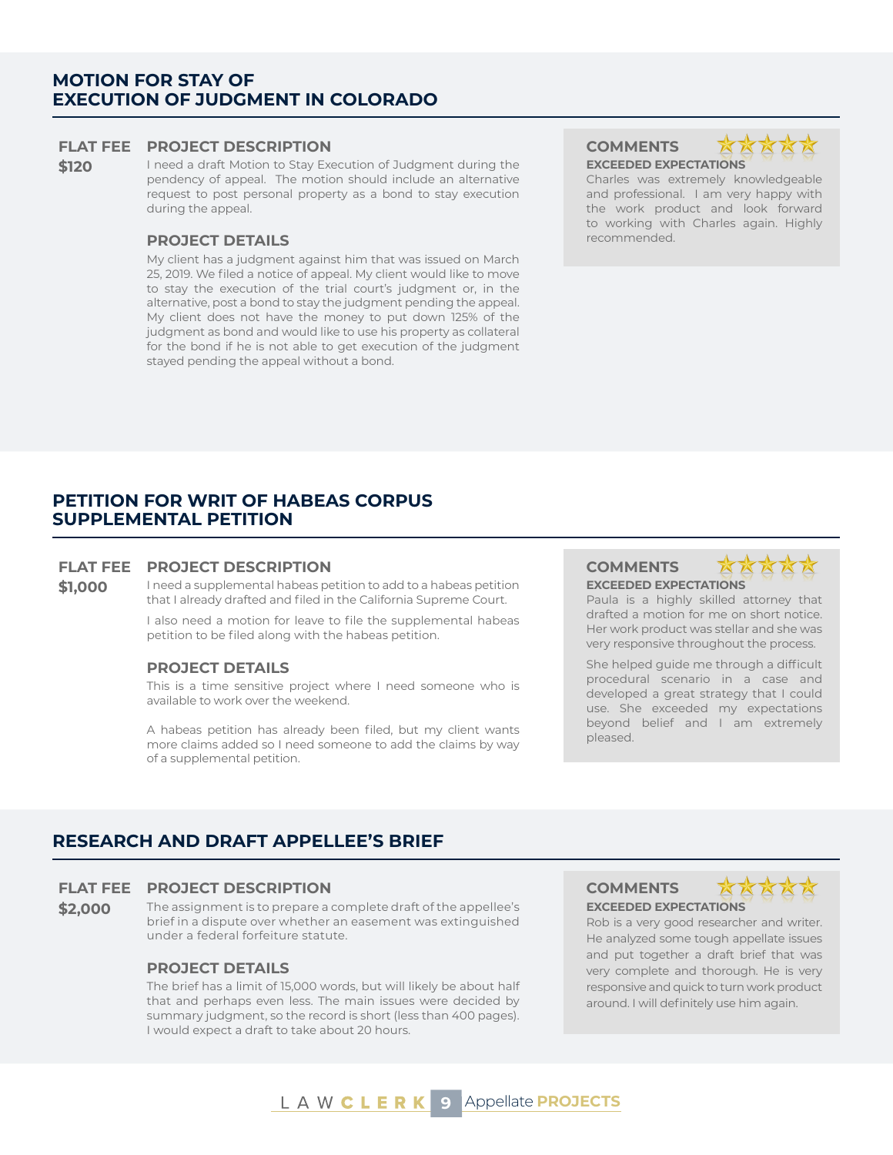## **MOTION FOR STAY OF EXECUTION OF JUDGMENT IN COLORADO**

#### **FLAT FEE PROJECT DESCRIPTION COMMENTS**

**\$120** I need a draft Motion to Stay Execution of Judgment during the pendency of appeal. The motion should include an alternative request to post personal property as a bond to stay execution during the appeal.

### **PROJECT DETAILS recommended.**

My client has a judgment against him that was issued on March 25, 2019. We filed a notice of appeal. My client would like to move to stay the execution of the trial court's judgment or, in the alternative, post a bond to stay the judgment pending the appeal. My client does not have the money to put down 125% of the judgment as bond and would like to use his property as collateral for the bond if he is not able to get execution of the judgment stayed pending the appeal without a bond.

**EXCEEDED EXPECTATIONS**



Charles was extremely knowledgeable and professional. I am very happy with the work product and look forward to working with Charles again. Highly

# **PETITION FOR WRIT OF HABEAS CORPUS SUPPLEMENTAL PETITION**

#### **FLAT FEE PROJECT DESCRIPTION COMMENTS**

**\$1,000** I need a supplemental habeas petition to add to a habeas petition that I already drafted and filed in the California Supreme Court.

> I also need a motion for leave to file the supplemental habeas petition to be filed along with the habeas petition.

#### **PROJECT DETAILS**

This is a time sensitive project where I need someone who is available to work over the weekend.

A habeas petition has already been filed, but my client wants more claims added so I need someone to add the claims by way of a supplemental petition.

# **EXCEEDED EXPECTATIONS**

Paula is a highly skilled attorney that drafted a motion for me on short notice. Her work product was stellar and she was very responsive throughout the process.

She helped guide me through a difficult procedural scenario in a case and developed a great strategy that I could use. She exceeded my expectations beyond belief and I am extremely pleased.

# **RESEARCH AND DRAFT APPELLEE'S BRIEF**

#### **FLAT FEE PROJECT DESCRIPTION COMMENTS**

**\$2.000** The assignment is to prepare a complete draft of the appellee's brief in a dispute over whether an easement was extinguished under a federal forfeiture statute.

### **PROJECT DETAILS**

The brief has a limit of 15,000 words, but will likely be about half that and perhaps even less. The main issues were decided by summary judgment, so the record is short (less than 400 pages). I would expect a draft to take about 20 hours.

**EXCEEDED EXPECTATIONS**



Rob is a very good researcher and writer. He analyzed some tough appellate issues and put together a draft brief that was very complete and thorough. He is very responsive and quick to turn work product around. I will definitely use him again.